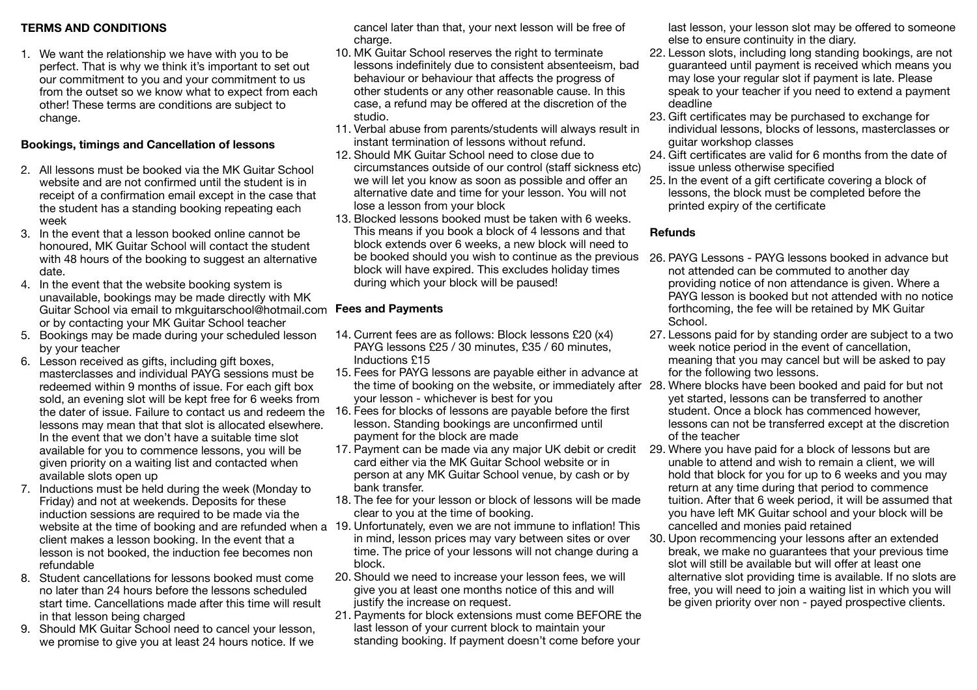# **TERMS AND CONDITIONS**

1. We want the relationship we have with you to be perfect. That is why we think it's important to set out our commitment to you and your commitment to us from the outset so we know what to expect from each other! These terms are conditions are subject to change.

# **Bookings, timings and Cancellation of lessons**

- 2. All lessons must be booked via the MK Guitar School website and are not confirmed until the student is in receipt of a confirmation email except in the case that the student has a standing booking repeating each week
- 3. In the event that a lesson booked online cannot be honoured, MK Guitar School will contact the student with 48 hours of the booking to suggest an alternative date.
- 4. In the event that the website booking system is unavailable, bookings may be made directly with MK Guitar School via email to mkguitarschool@hotmail.com **Fees and Payments**  or by contacting your MK Guitar School teacher
- 5. Bookings may be made during your scheduled lesson by your teacher
- 6. Lesson received as gifts, including gift boxes, masterclasses and individual PAYG sessions must be redeemed within 9 months of issue. For each gift box sold, an evening slot will be kept free for 6 weeks from lessons may mean that that slot is allocated elsewhere. In the event that we don't have a suitable time slot available for you to commence lessons, you will be given priority on a waiting list and contacted when available slots open up
- 7. Inductions must be held during the week (Monday to Friday) and not at weekends. Deposits for these induction sessions are required to be made via the client makes a lesson booking. In the event that a lesson is not booked, the induction fee becomes non refundable
- 8. Student cancellations for lessons booked must come no later than 24 hours before the lessons scheduled start time. Cancellations made after this time will result in that lesson being charged
- 9. Should MK Guitar School need to cancel your lesson, we promise to give you at least 24 hours notice. If we

cancel later than that, your next lesson will be free of charge.

- 10. MK Guitar School reserves the right to terminate lessons indefinitely due to consistent absenteeism, bad behaviour or behaviour that affects the progress of other students or any other reasonable cause. In this case, a refund may be offered at the discretion of the studio.
- 11. Verbal abuse from parents/students will always result in instant termination of lessons without refund.
- 12. Should MK Guitar School need to close due to circumstances outside of our control (staff sickness etc) we will let you know as soon as possible and offer an alternative date and time for your lesson. You will not lose a lesson from your block
- 13. Blocked lessons booked must be taken with 6 weeks. This means if you book a block of 4 lessons and that block extends over 6 weeks, a new block will need to block will have expired. This excludes holiday times during which your block will be paused!

- 14. Current fees are as follows: Block lessons £20 (x4) PAYG lessons £25 / 30 minutes, £35 / 60 minutes, Inductions £15
- 15. Fees for PAYG lessons are payable either in advance at your lesson - whichever is best for you
- the dater of issue. Failure to contact us and redeem the 16. Fees for blocks of lessons are payable before the first lesson. Standing bookings are unconfirmed until payment for the block are made
	- 17. Payment can be made via any major UK debit or credit 29. Where you have paid for a block of lessons but are card either via the MK Guitar School website or in person at any MK Guitar School venue, by cash or by bank transfer.
	- 18. The fee for your lesson or block of lessons will be made clear to you at the time of booking.
- website at the time of booking and are refunded when a 19. Unfortunately, even we are not immune to inflation! This in mind, lesson prices may vary between sites or over time. The price of your lessons will not change during a block.
	- 20. Should we need to increase your lesson fees, we will give you at least one months notice of this and will justify the increase on request.
	- 21. Payments for block extensions must come BEFORE the last lesson of your current block to maintain your standing booking. If payment doesn't come before your

last lesson, your lesson slot may be offered to someone else to ensure continuity in the diary.

- 22. Lesson slots, including long standing bookings, are not guaranteed until payment is received which means you may lose your regular slot if payment is late. Please speak to your teacher if you need to extend a payment deadline
- 23. Gift certificates may be purchased to exchange for individual lessons, blocks of lessons, masterclasses or guitar workshop classes
- 24. Gift certificates are valid for 6 months from the date of issue unless otherwise specified
- 25. In the event of a gift certificate covering a block of lessons, the block must be completed before the printed expiry of the certificate

# **Refunds**

- be booked should you wish to continue as the previous 26. PAYG Lessons PAYG lessons booked in advance but not attended can be commuted to another day providing notice of non attendance is given. Where a PAYG lesson is booked but not attended with no notice forthcoming, the fee will be retained by MK Guitar School.
	- 27. Lessons paid for by standing order are subject to a two week notice period in the event of cancellation, meaning that you may cancel but will be asked to pay for the following two lessons.
- the time of booking on the website, or immediately after 28. Where blocks have been booked and paid for but not yet started, lessons can be transferred to another student. Once a block has commenced however, lessons can not be transferred except at the discretion of the teacher
	- unable to attend and wish to remain a client, we will hold that block for you for up to 6 weeks and you may return at any time during that period to commence tuition. After that 6 week period, it will be assumed that you have left MK Guitar school and your block will be cancelled and monies paid retained
	- 30. Upon recommencing your lessons after an extended break, we make no guarantees that your previous time slot will still be available but will offer at least one alternative slot providing time is available. If no slots are free, you will need to join a waiting list in which you will be given priority over non - payed prospective clients.